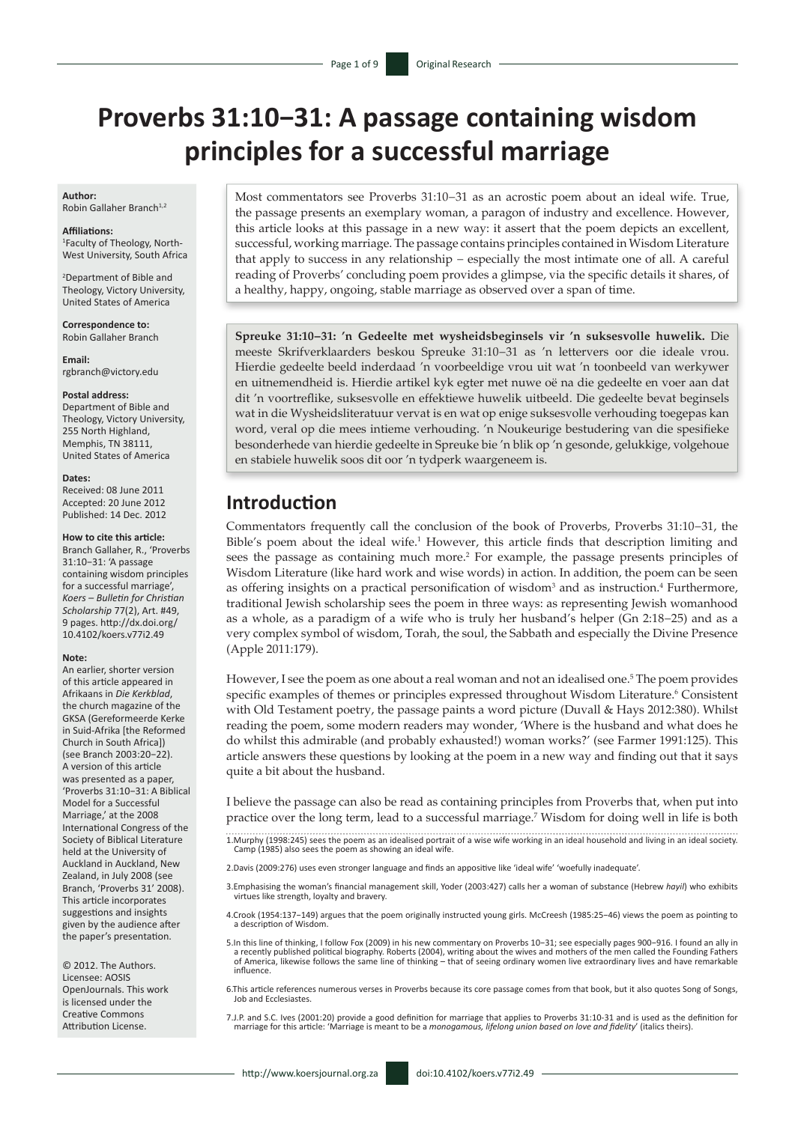# **Proverbs 31:10−31: A passage containing wisdom principles for a successful marriage**

#### **Author:**

Robin Gallaher Branch<sup>1,2</sup>

#### **Affiliations:**

1 Faculty of Theology, North-West University, South Africa

2 Department of Bible and Theology, Victory University, United States of America

**Correspondence to:** Robin Gallaher Branch

**Email:**

[rgbranch@victory.edu](mailto:rgbranch@victory.edu)

#### **Postal address:**

Department of Bible and Theology, Victory University, 255 North Highland, Memphis, TN 38111, United States of America

#### **Dates:**

Received: 08 June 2011 Accepted: 20 June 2012 Published: 14 Dec. 2012

#### **How to cite this article:**

Branch Gallaher, R., 'Proverbs 31:10−31: 'A passage containing wisdom principles for a successful marriage', *Koers – Bulletin for Christian Scholarship* 77(2), Art. #49, 9 pages. [http://dx.doi.org/](http://dx.doi.org/10.4102/koers.v77i2.49)  [10.4102/koers.v77i2.49](http://dx.doi.org/10.4102/koers.v77i2.49)

#### **Note:**

An earlier, shorter version of this article appeared in Afrikaans in *Die Kerkblad*, the church magazine of the GKSA (Gereformeerde Kerke in Suid-Afrika [the Reformed Church in South Africa]) (see Branch 2003:20−22). A version of this article was presented as a paper, 'Proverbs 31:10−31: A Biblical Model for a Successful Marriage,' at the 2008 International Congress of the Society of Biblical Literature held at the University of Auckland in Auckland, New Zealand, in July 2008 (see Branch, 'Proverbs 31' 2008). This article incorporates suggestions and insights given by the audience after the paper's presentation.

© 2012. The Authors. Licensee: AOSIS OpenJournals. This work is licensed under the Creative Commons Attribution License.

Most commentators see Proverbs 31:10−31 as an acrostic poem about an ideal wife. True, the passage presents an exemplary woman, a paragon of industry and excellence. However, this article looks at this passage in a new way: it assert that the poem depicts an excellent, successful, working marriage. The passage contains principles contained in Wisdom Literature that apply to success in any relationship − especially the most intimate one of all. A careful reading of Proverbs' concluding poem provides a glimpse, via the specific details it shares, of a healthy, happy, ongoing, stable marriage as observed over a span of time.

**Spreuke 31:10−31: 'n Gedeelte met wysheidsbeginsels vir 'n suksesvolle huwelik.** Die meeste Skrifverklaarders beskou Spreuke 31:10−31 as 'n lettervers oor die ideale vrou. Hierdie gedeelte beeld inderdaad 'n voorbeeldige vrou uit wat 'n toonbeeld van werkywer en uitnemendheid is. Hierdie artikel kyk egter met nuwe oë na die gedeelte en voer aan dat dit 'n voortreflike, suksesvolle en effektiewe huwelik uitbeeld. Die gedeelte bevat beginsels wat in die Wysheidsliteratuur vervat is en wat op enige suksesvolle verhouding toegepas kan word, veral op die mees intieme verhouding. 'n Noukeurige bestudering van die spesifieke besonderhede van hierdie gedeelte in Spreuke bie 'n blik op 'n gesonde, gelukkige, volgehoue en stabiele huwelik soos dit oor 'n tydperk waargeneem is.

#### **Introduction**

Commentators frequently call the conclusion of the book of Proverbs, Proverbs 31:10−31, the Bible's poem about the ideal wife.<sup>1</sup> However, this article finds that description limiting and sees the passage as containing much more.<sup>2</sup> For example, the passage presents principles of Wisdom Literature (like hard work and wise words) in action. In addition, the poem can be seen as offering insights on a practical personification of wisdom<sup>3</sup> and as instruction.<sup>4</sup> Furthermore, traditional Jewish scholarship sees the poem in three ways: as representing Jewish womanhood as a whole, as a paradigm of a wife who is truly her husband's helper (Gn 2:18−25) and as a very complex symbol of wisdom, Torah, the soul, the Sabbath and especially the Divine Presence (Apple 2011:179).

However, I see the poem as one about a real woman and not an idealised one.<sup>5</sup> The poem provides specific examples of themes or principles expressed throughout Wisdom Literature.<sup>6</sup> Consistent with Old Testament poetry, the passage paints a word picture (Duvall & Hays 2012:380). Whilst reading the poem, some modern readers may wonder, 'Where is the husband and what does he do whilst this admirable (and probably exhausted!) woman works?' (see Farmer 1991:125). This article answers these questions by looking at the poem in a new way and finding out that it says quite a bit about the husband.

I believe the passage can also be read as containing principles from Proverbs that, when put into practice over the long term, lead to a successful marriage.7 Wisdom for doing well in life is both

1.Murphy (1998:245) sees the poem as an idealised portrait of a wise wife working in an ideal household and living in an ideal society. Camp (1985) also sees the poem as showing an ideal wife.

2.Davis (2009:276) uses even stronger language and finds an appositive like 'ideal wife' 'woefully inadequate'.

3.Emphasising the woman's financial management skill, Yoder (2003:427) calls her a woman of substance (Hebrew *hayil*) who exhibits virtues like strength, loyalty and bravery.

4.Crook (1954:137−149) argues that the poem originally instructed young girls. McCreesh (1985:25−46) views the poem as pointing to a description of Wisdom.

5.In this line of thinking, I follow Fox (2009) in his new commentary on Proverbs 10−31; see especially pages 900−916. I found an ally in a recently published political biography. Roberts (2004), writing about the wives and mothers of the men called the Founding Fathers<br>of America, likewise follows the same line of thinking – that of seeing ordinary women li influence.

6.This article references numerous verses in Proverbs because its core passage comes from that book, but it also quotes Song of Songs, Job and Ecclesiastes.

7.J.P. and S.C. Ives (2001:20) provide a good definition for marriage that applies to Proverbs 31:10-31 and is used as the definition for marriage for this article: 'Marriage is meant to be a *monogamous, lifelong union based on love and fidelity*' (italics theirs).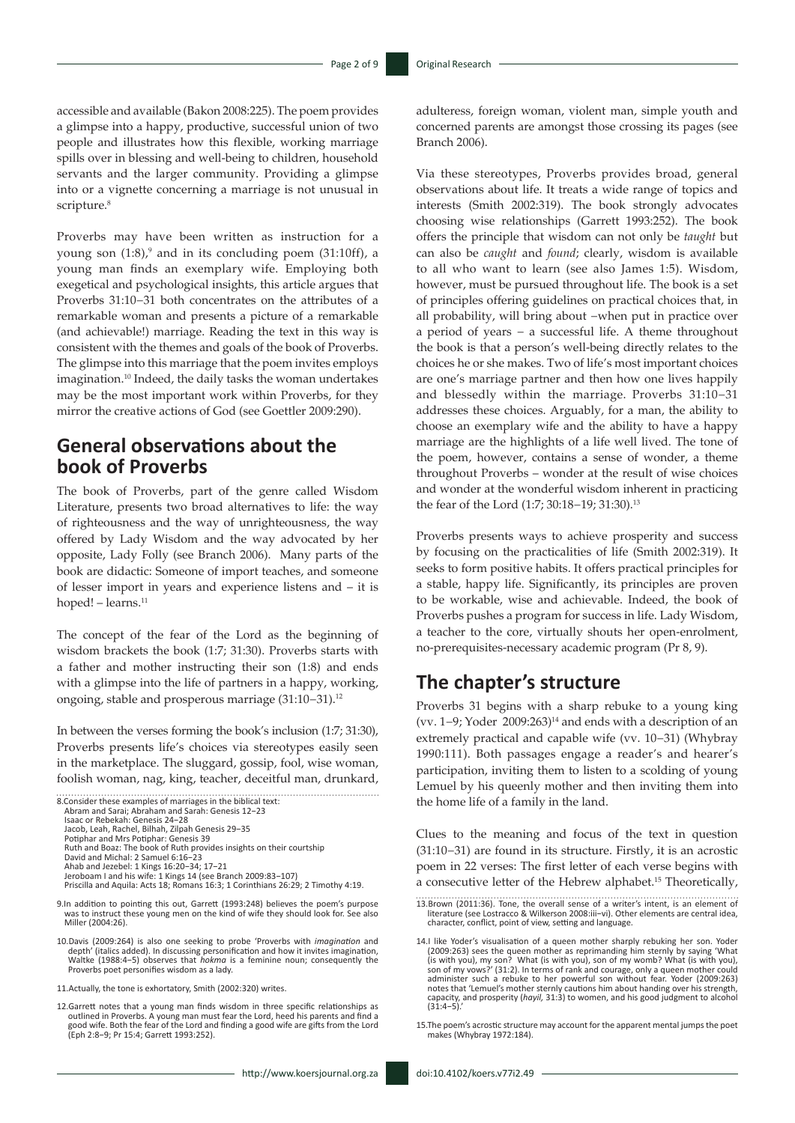accessible and available (Bakon 2008:225). The poem provides a glimpse into a happy, productive, successful union of two people and illustrates how this flexible, working marriage spills over in blessing and well-being to children, household servants and the larger community. Providing a glimpse into or a vignette concerning a marriage is not unusual in scripture.<sup>8</sup>

Proverbs may have been written as instruction for a young son  $(1.8)$ ,<sup>9</sup> and in its concluding poem  $(31.10\text{ff})$ , a young man finds an exemplary wife. Employing both exegetical and psychological insights, this article argues that Proverbs 31:10−31 both concentrates on the attributes of a remarkable woman and presents a picture of a remarkable (and achievable!) marriage. Reading the text in this way is consistent with the themes and goals of the book of Proverbs. The glimpse into this marriage that the poem invites employs imagination.10 Indeed, the daily tasks the woman undertakes may be the most important work within Proverbs, for they mirror the creative actions of God (see Goettler 2009:290).

## **General observations about the book of Proverbs**

The book of Proverbs, part of the genre called Wisdom Literature, presents two broad alternatives to life: the way of righteousness and the way of unrighteousness, the way offered by Lady Wisdom and the way advocated by her opposite, Lady Folly (see Branch 2006). Many parts of the book are didactic: Someone of import teaches, and someone of lesser import in years and experience listens and – it is hoped! – learns.<sup>11</sup>

The concept of the fear of the Lord as the beginning of wisdom brackets the book (1:7; 31:30). Proverbs starts with a father and mother instructing their son (1:8) and ends with a glimpse into the life of partners in a happy, working, ongoing, stable and prosperous marriage (31:10−31).12

In between the verses forming the book's inclusion (1:7; 31:30), Proverbs presents life's choices via stereotypes easily seen in the marketplace. The sluggard, gossip, fool, wise woman, foolish woman, nag, king, teacher, deceitful man, drunkard,



- 10.Davis (2009:264) is also one seeking to probe 'Proverbs with *imagination* and depth' (italics added). In discussing personification and how it invites imagination, Waltke (1988:4−5) observes that *hokma* is a feminine noun; consequently the Proverbs poet personifies wisdom as a lady.
- 11.Actually, the tone is exhortatory, Smith (2002:320) writes.
- 12. Garrett notes that a young man finds wisdom in three specific relationships as<br>outlined in Proverbs. A young man must fear the Lord, heed his parents and find a<br>good wife. Both the fear of the Lord and finding a good w

adulteress, foreign woman, violent man, simple youth and concerned parents are amongst those crossing its pages (see Branch 2006).

Via these stereotypes, Proverbs provides broad, general observations about life. It treats a wide range of topics and interests (Smith 2002:319). The book strongly advocates choosing wise relationships (Garrett 1993:252). The book offers the principle that wisdom can not only be *taught* but can also be *caught* and *found*; clearly, wisdom is available to all who want to learn (see also James 1:5). Wisdom, however, must be pursued throughout life. The book is a set of principles offering guidelines on practical choices that, in all probability, will bring about −when put in practice over a period of years − a successful life. A theme throughout the book is that a person's well-being directly relates to the choices he or she makes. Two of life's most important choices are one's marriage partner and then how one lives happily and blessedly within the marriage. Proverbs 31:10−31 addresses these choices. Arguably, for a man, the ability to choose an exemplary wife and the ability to have a happy marriage are the highlights of a life well lived. The tone of the poem, however, contains a sense of wonder, a theme throughout Proverbs – wonder at the result of wise choices and wonder at the wonderful wisdom inherent in practicing the fear of the Lord (1:7; 30:18−19; 31:30).13

Proverbs presents ways to achieve prosperity and success by focusing on the practicalities of life (Smith 2002:319). It seeks to form positive habits. It offers practical principles for a stable, happy life. Significantly, its principles are proven to be workable, wise and achievable. Indeed, the book of Proverbs pushes a program for success in life. Lady Wisdom, a teacher to the core, virtually shouts her open-enrolment, no-prerequisites-necessary academic program (Pr 8, 9).

#### **The chapter's structure**

Proverbs 31 begins with a sharp rebuke to a young king (vv. 1−9; Yoder 2009:263)14 and ends with a description of an extremely practical and capable wife (vv. 10−31) (Whybray 1990:111). Both passages engage a reader's and hearer's participation, inviting them to listen to a scolding of young Lemuel by his queenly mother and then inviting them into the home life of a family in the land.

Clues to the meaning and focus of the text in question (31:10−31) are found in its structure. Firstly, it is an acrostic poem in 22 verses: The first letter of each verse begins with a consecutive letter of the Hebrew alphabet.15 Theoretically,

<sup>13.</sup>Brown (2011:36). Tone, the overall sense of a writer's intent, is an element of literature (see Lostracco & Wilkerson 2008:iii−vi). Other elements are central idea, character, conflict, point of view, setting and language.

<sup>14.1</sup> like Yoder's visualisation of a queen mother sharply rebuking her son. Yoder (2009:263) sees the queen mother as reprimanding him sternly by saying 'What (is uith you), son of my womb? What (is with you), son of my w administer such a rebuke to her powerful son without fear. Yoder (2009:263) notes that 'Lemuel's mother sternly cautions him about handing over his strength, capacity, and prosperity (*hayil,* 31:3) to women, and his good judgment to alcohol (31:4−5).'

<sup>15.</sup>The poem's acrostic structure may account for the apparent mental jumps the poet makes (Whybray 1972:184).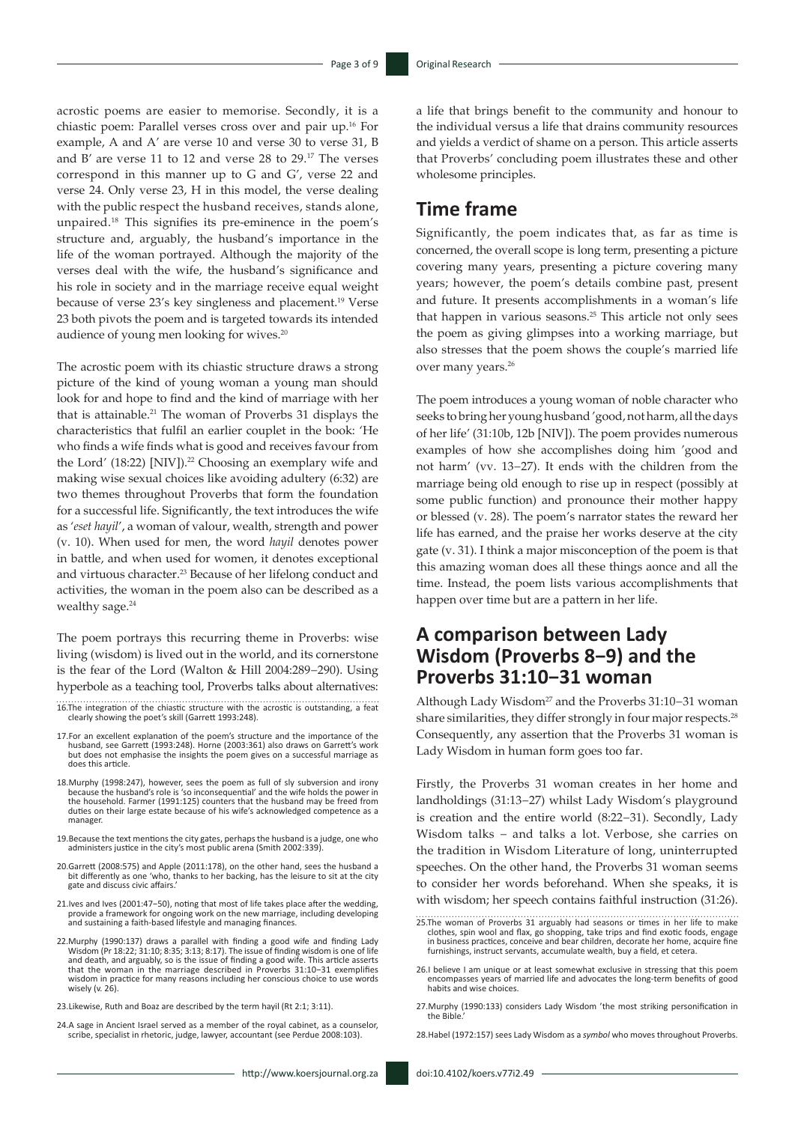acrostic poems are easier to memorise. Secondly, it is a chiastic poem: Parallel verses cross over and pair up.16 For example, A and A' are verse 10 and verse 30 to verse 31, B and B' are verse 11 to 12 and verse 28 to 29.17 The verses correspond in this manner up to G and G', verse 22 and verse 24. Only verse 23, H in this model, the verse dealing with the public respect the husband receives, stands alone, unpaired.18 This signifies its pre-eminence in the poem's structure and, arguably, the husband's importance in the life of the woman portrayed. Although the majority of the verses deal with the wife, the husband's significance and his role in society and in the marriage receive equal weight because of verse 23's key singleness and placement.19 Verse 23 both pivots the poem and is targeted towards its intended audience of young men looking for wives.<sup>20</sup>

The acrostic poem with its chiastic structure draws a strong picture of the kind of young woman a young man should look for and hope to find and the kind of marriage with her that is attainable.21 The woman of Proverbs 31 displays the characteristics that fulfil an earlier couplet in the book: 'He who finds a wife finds what is good and receives favour from the Lord' (18:22) [NIV]).<sup>22</sup> Choosing an exemplary wife and making wise sexual choices like avoiding adultery (6:32) are two themes throughout Proverbs that form the foundation for a successful life. Significantly, the text introduces the wife as '*eset hayil*', a woman of valour, wealth, strength and power (v. 10). When used for men, the word *hayil* denotes power in battle, and when used for women, it denotes exceptional and virtuous character.23 Because of her lifelong conduct and activities, the woman in the poem also can be described as a wealthy sage.<sup>24</sup>

The poem portrays this recurring theme in Proverbs: wise living (wisdom) is lived out in the world, and its cornerstone is the fear of the Lord (Walton & Hill 2004:289−290). Using hyperbole as a teaching tool, Proverbs talks about alternatives:

- 16.The integration of the chiastic structure with the acrostic is outstanding, a feat clearly showing the poet's skill (Garrett 1993:248).
- 17.For an excellent explanation of the poem's structure and the importance of the husband, see Garrett (1993:248). Horne (2003:361) also draws on Garrett's work but does not emphasise the insights the poem gives on a successful marriage as does this article.
- 18.Murphy (1998:247), however, sees the poem as full of sly subversion and irony because the husband's role is 'so inconsequential' and the wife holds the power in the household. Farmer (1991:125) counters that the husband may be freed from duties on their large estate because of his wife's acknowledged competence as a manager.
- 19.Because the text mentions the city gates, perhaps the husband is a judge, one who administers justice in the city's most public arena (Smith 2002:339).
- 20.Garrett (2008:575) and Apple (2011:178), on the other hand, sees the husband a bit differently as one 'who, thanks to her backing, has the leisure to sit at the city gate and discuss civic affairs.'
- 21.Ives and Ives (2001:47−50), noting that most of life takes place after the wedding, provide a framework for ongoing work on the new marriage, including developing and sustaining a faith-based lifestyle and managing finances.
- 22. Murphy (1990:137) draws a parallel with finding a good wife and finding Lady Wisdom (Pr 18:22; 31:10; 8:35; 3:13; 8:17). The issue of finding wisdom is one of life sand eath, and arguably, so is the issue of finding a wisdom in practice for many reasons including her conscious choice to use words wisely (v. 26).
- 23.Likewise, Ruth and Boaz are described by the term hayil (Rt 2:1; 3:11).
- 24.A sage in Ancient Israel served as a member of the royal cabinet, as a counselor, scribe, specialist in rhetoric, judge, lawyer, accountant (see Perdue 2008:103).

a life that brings benefit to the community and honour to the individual versus a life that drains community resources and yields a verdict of shame on a person. This article asserts that Proverbs' concluding poem illustrates these and other wholesome principles.

### **Time frame**

Significantly, the poem indicates that, as far as time is concerned, the overall scope is long term, presenting a picture covering many years, presenting a picture covering many years; however, the poem's details combine past, present and future. It presents accomplishments in a woman's life that happen in various seasons.<sup>25</sup> This article not only sees the poem as giving glimpses into a working marriage, but also stresses that the poem shows the couple's married life over many years.<sup>26</sup>

The poem introduces a young woman of noble character who seeks to bring her young husband 'good, not harm, all the days of her life' (31:10b, 12b [NIV]). The poem provides numerous examples of how she accomplishes doing him 'good and not harm' (vv. 13−27). It ends with the children from the marriage being old enough to rise up in respect (possibly at some public function) and pronounce their mother happy or blessed (v. 28). The poem's narrator states the reward her life has earned, and the praise her works deserve at the city gate (v. 31). I think a major misconception of the poem is that this amazing woman does all these things aonce and all the time. Instead, the poem lists various accomplishments that happen over time but are a pattern in her life.

### **A comparison between Lady Wisdom (Proverbs 8−9) and the Proverbs 31:10−31 woman**

Although Lady Wisdom27 and the Proverbs 31:10−31 woman share similarities, they differ strongly in four major respects.<sup>28</sup> Consequently, any assertion that the Proverbs 31 woman is Lady Wisdom in human form goes too far.

Firstly, the Proverbs 31 woman creates in her home and landholdings (31:13−27) whilst Lady Wisdom's playground is creation and the entire world (8:22−31). Secondly, Lady Wisdom talks − and talks a lot. Verbose, she carries on the tradition in Wisdom Literature of long, uninterrupted speeches. On the other hand, the Proverbs 31 woman seems to consider her words beforehand. When she speaks, it is with wisdom; her speech contains faithful instruction (31:26).

- 26.I believe I am unique or at least somewhat exclusive in stressing that this poem encompasses years of married life and advocates the long-term benefits of good habits and wise choices.
- 27.Murphy (1990:133) considers Lady Wisdom 'the most striking personification in the Rih

28.Habel (1972:157) sees Lady Wisdom as a *symbol* who moves throughout Proverbs.

<sup>25.</sup>The woman of Proverbs 31 arguably had seasons or times in her life to make clothes, spin wool and flax, go shopping, take trips and find exotic foods, engage in business practices, conceive and bear children, decorate her home, acquire fine furnishings, instruct servants, accumulate wealth, buy a field, et cetera.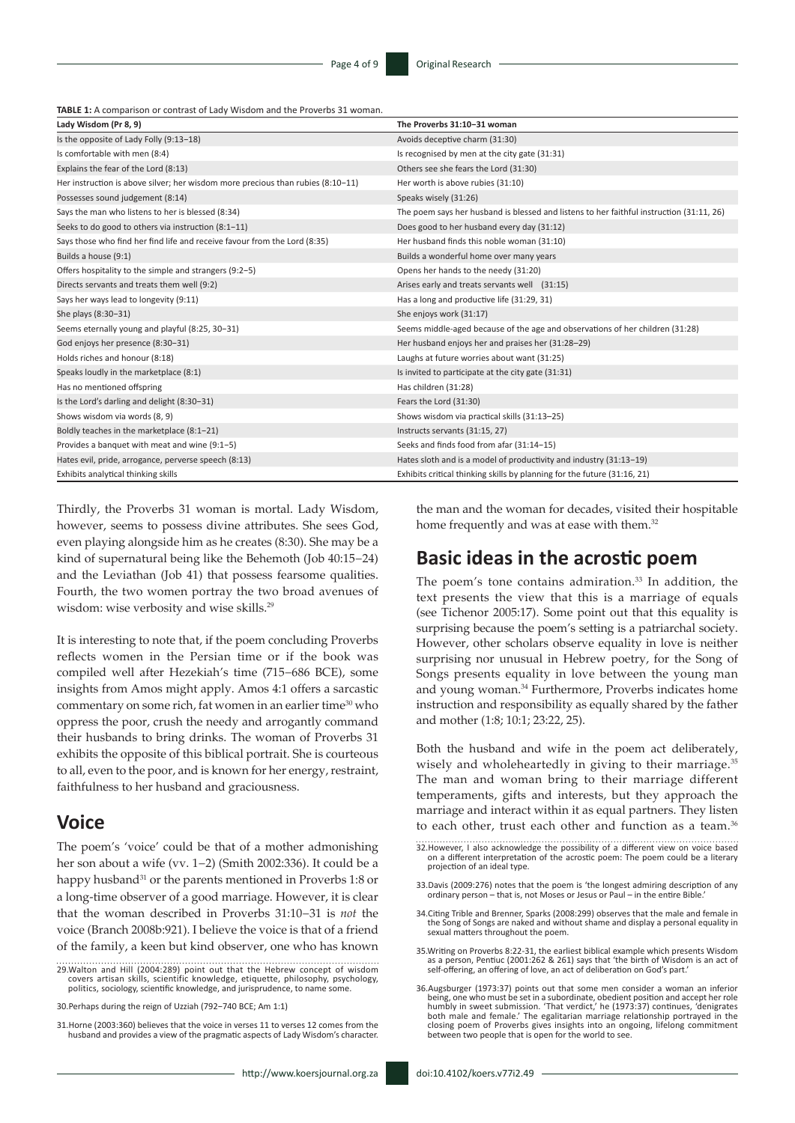**TABLE 1:** A comparison or contrast of Lady Wisdom and the Proverbs 31 woman.

| Lady Wisdom (Pr 8, 9)                                                           | The Proverbs 31:10-31 woman                                                              |
|---------------------------------------------------------------------------------|------------------------------------------------------------------------------------------|
| Is the opposite of Lady Folly (9:13-18)                                         | Avoids deceptive charm (31:30)                                                           |
| Is comfortable with men (8:4)                                                   | Is recognised by men at the city gate (31:31)                                            |
| Explains the fear of the Lord (8:13)                                            | Others see she fears the Lord (31:30)                                                    |
| Her instruction is above silver; her wisdom more precious than rubies (8:10-11) | Her worth is above rubies (31:10)                                                        |
| Possesses sound judgement (8:14)                                                | Speaks wisely (31:26)                                                                    |
| Says the man who listens to her is blessed (8:34)                               | The poem says her husband is blessed and listens to her faithful instruction (31:11, 26) |
| Seeks to do good to others via instruction (8:1-11)                             | Does good to her husband every day (31:12)                                               |
| Says those who find her find life and receive favour from the Lord (8:35)       | Her husband finds this noble woman (31:10)                                               |
| Builds a house (9:1)                                                            | Builds a wonderful home over many years                                                  |
| Offers hospitality to the simple and strangers (9:2-5)                          | Opens her hands to the needy (31:20)                                                     |
| Directs servants and treats them well (9:2)                                     | Arises early and treats servants well (31:15)                                            |
| Says her ways lead to longevity (9:11)                                          | Has a long and productive life (31:29, 31)                                               |
| She plays (8:30-31)                                                             | She enjoys work (31:17)                                                                  |
| Seems eternally young and playful (8:25, 30-31)                                 | Seems middle-aged because of the age and observations of her children (31:28)            |
| God enjoys her presence (8:30-31)                                               | Her husband enjoys her and praises her (31:28-29)                                        |
| Holds riches and honour (8:18)                                                  | Laughs at future worries about want (31:25)                                              |
| Speaks loudly in the marketplace (8:1)                                          | Is invited to participate at the city gate (31:31)                                       |
| Has no mentioned offspring                                                      | Has children (31:28)                                                                     |
| Is the Lord's darling and delight (8:30-31)                                     | Fears the Lord (31:30)                                                                   |
| Shows wisdom via words (8, 9)                                                   | Shows wisdom via practical skills (31:13-25)                                             |
| Boldly teaches in the marketplace (8:1-21)                                      | Instructs servants (31:15, 27)                                                           |
| Provides a banquet with meat and wine (9:1-5)                                   | Seeks and finds food from afar (31:14-15)                                                |
| Hates evil, pride, arrogance, perverse speech (8:13)                            | Hates sloth and is a model of productivity and industry (31:13-19)                       |
| Exhibits analytical thinking skills                                             | Exhibits critical thinking skills by planning for the future (31:16, 21)                 |

Thirdly, the Proverbs 31 woman is mortal. Lady Wisdom, however, seems to possess divine attributes. She sees God, even playing alongside him as he creates (8:30). She may be a kind of supernatural being like the Behemoth (Job 40:15−24) and the Leviathan (Job 41) that possess fearsome qualities. Fourth, the two women portray the two broad avenues of wisdom: wise verbosity and wise skills.<sup>29</sup>

It is interesting to note that, if the poem concluding Proverbs reflects women in the Persian time or if the book was compiled well after Hezekiah's time (715−686 BCE), some insights from Amos might apply. Amos 4:1 offers a sarcastic commentary on some rich, fat women in an earlier time<sup>30</sup> who oppress the poor, crush the needy and arrogantly command their husbands to bring drinks. The woman of Proverbs 31 exhibits the opposite of this biblical portrait. She is courteous to all, even to the poor, and is known for her energy, restraint, faithfulness to her husband and graciousness.

#### **Voice**

The poem's 'voice' could be that of a mother admonishing her son about a wife (vv. 1−2) (Smith 2002:336). It could be a happy husband<sup>31</sup> or the parents mentioned in Proverbs 1:8 or a long-time observer of a good marriage. However, it is clear that the woman described in Proverbs 31:10−31 is *not* the voice (Branch 2008b:921). I believe the voice is that of a friend of the family, a keen but kind observer, one who has known

29.Walton and Hill (2004:289) point out that the Hebrew concept of wisdom covers artisan skills, scientific knowledge, etiquette, philosophy, psychology, politics, sociology, scientific knowledge, and jurisprudence, to name some.

30.Perhaps during the reign of Uzziah (792−740 BCE; Am 1:1)

31.Horne (2003:360) believes that the voice in verses 11 to verses 12 comes from the husband and provides a view of the pragmatic aspects of Lady Wisdom's character. the man and the woman for decades, visited their hospitable home frequently and was at ease with them.<sup>32</sup>

#### **Basic ideas in the acrostic poem**

The poem's tone contains admiration.<sup>33</sup> In addition, the text presents the view that this is a marriage of equals (see Tichenor 2005:17). Some point out that this equality is surprising because the poem's setting is a patriarchal society. However, other scholars observe equality in love is neither surprising nor unusual in Hebrew poetry, for the Song of Songs presents equality in love between the young man and young woman.34 Furthermore, Proverbs indicates home instruction and responsibility as equally shared by the father and mother (1:8; 10:1; 23:22, 25).

Both the husband and wife in the poem act deliberately, wisely and wholeheartedly in giving to their marriage.<sup>35</sup> The man and woman bring to their marriage different temperaments, gifts and interests, but they approach the marriage and interact within it as equal partners. They listen to each other, trust each other and function as a team.<sup>36</sup>

- 32.However, I also acknowledge the possibility of a different view on voice based on a different interpretation of the acrostic poem: The poem could be a literary projection of an ideal type.
- 33.Davis (2009:276) notes that the poem is 'the longest admiring description of any ordinary person that is, not Moses or Jesus or Paul in the entire Bible.'
- 34.Citing Trible and Brenner, Sparks (2008:299) observes that the male and female in the Song of Songs are naked and without shame and display a personal equality in sexual matters throughout the poem.
- 35.Writing on Proverbs 8:22-31, the earliest biblical example which presents Wisdom as a person, Pentiuc (2001:262 & 261) says that 'the birth of Wisdom is an act of self-offering, an offering of love, an act of deliberation on God's part.'
- 36.Augsburger (1973:37) points out that some men consider a woman an inferior being, one who must be set in a subordinate, obedient position and accept her role<br>humbly in sweet submission. 'That verdict,' he (1973:37) continues, 'denigrates<br>both male and female.' The egalitarian marriage relationshi closing poem of Proverbs gives insights into an ongoing, lifelong commitment between two people that is open for the world to see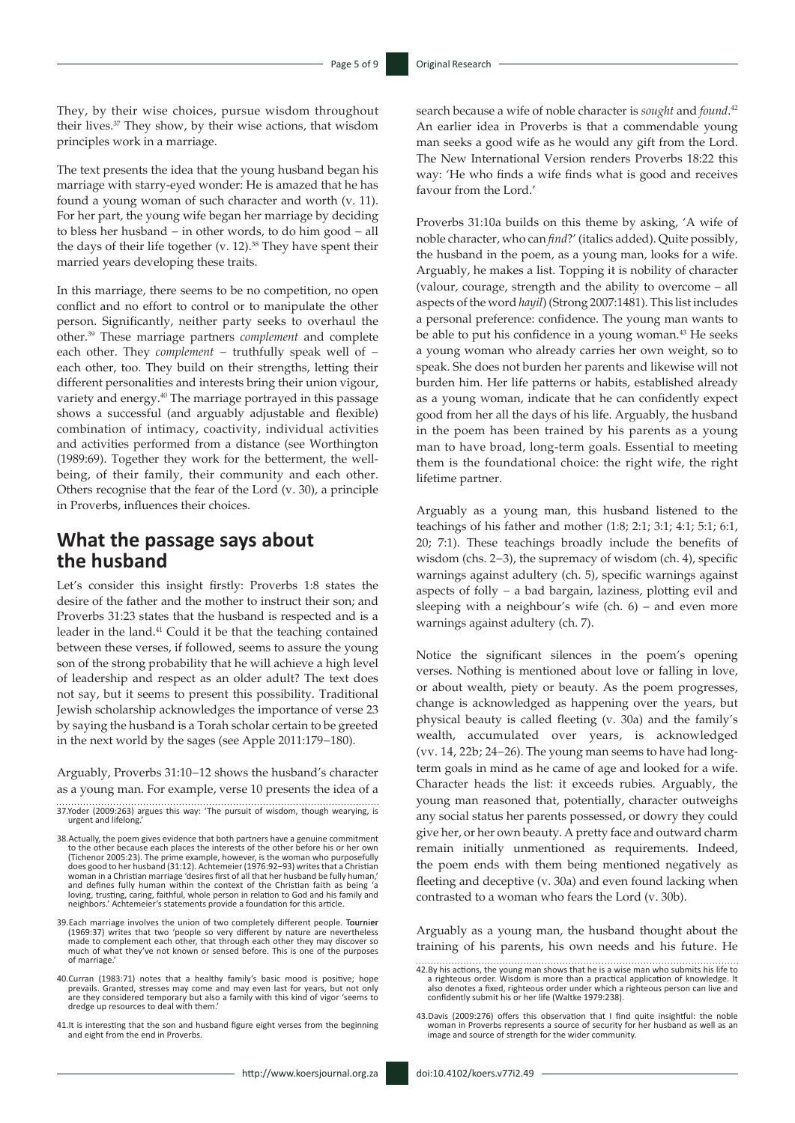They, by their wise choices, pursue wisdom throughout their lives.<sup>37</sup> They show, by their wise actions, that wisdom principles work in a marriage.

The text presents the idea that the young husband began his marriage with starry-eyed wonder: He is amazed that he has found a young woman of such character and worth (v. 11). For her part, the young wife began her marriage by deciding to bless her husband − in other words, to do him good − all the days of their life together (v. 12).<sup>38</sup> They have spent their married years developing these traits.

In this marriage, there seems to be no competition, no open conflict and no effort to control or to manipulate the other person. Significantly, neither party seeks to overhaul the other.39 These marriage partners *complement* and complete each other. They *complement* − truthfully speak well of − each other, too. They build on their strengths, letting their different personalities and interests bring their union vigour, variety and energy.<sup>40</sup> The marriage portrayed in this passage shows a successful (and arguably adjustable and flexible) combination of intimacy, coactivity, individual activities and activities performed from a distance (see Worthington (1989:69). Together they work for the betterment, the wellbeing, of their family, their community and each other. Others recognise that the fear of the Lord (v. 30), a principle in Proverbs, influences their choices.

### **What the passage says about the husband**

Let's consider this insight firstly: Proverbs 1:8 states the desire of the father and the mother to instruct their son; and Proverbs 31:23 states that the husband is respected and is a leader in the land.<sup>41</sup> Could it be that the teaching contained between these verses, if followed, seems to assure the young son of the strong probability that he will achieve a high level of leadership and respect as an older adult? The text does not say, but it seems to present this possibility. Traditional Jewish scholarship acknowledges the importance of verse 23 by saying the husband is a Torah scholar certain to be greeted in the next world by the sages (see Apple 2011:179−180).

Arguably, Proverbs 31:10−12 shows the husband's character as a young man. For example, verse 10 presents the idea of a

41.It is interesting that the son and husband figure eight verses from the beginning and eight from the end in Proverbs.

search because a wife of noble character is *sought* and *found*. 42 An earlier idea in Proverbs is that a commendable young man seeks a good wife as he would any gift from the Lord. The New International Version renders Proverbs 18:22 this way: 'He who finds a wife finds what is good and receives favour from the Lord.'

Proverbs 31:10a builds on this theme by asking, 'A wife of noble character, who can *find*?' (italics added). Quite possibly, the husband in the poem, as a young man, looks for a wife. Arguably, he makes a list. Topping it is nobility of character (valour, courage, strength and the ability to overcome – all aspects of the word *hayil*) (Strong 2007:1481). This list includes a personal preference: confidence. The young man wants to be able to put his confidence in a young woman.<sup>43</sup> He seeks a young woman who already carries her own weight, so to speak. She does not burden her parents and likewise will not burden him. Her life patterns or habits, established already as a young woman, indicate that he can confidently expect good from her all the days of his life. Arguably, the husband in the poem has been trained by his parents as a young man to have broad, long-term goals. Essential to meeting them is the foundational choice: the right wife, the right lifetime partner.

Arguably as a young man, this husband listened to the teachings of his father and mother (1:8; 2:1; 3:1; 4:1; 5:1; 6:1, 20; 7:1). These teachings broadly include the benefits of wisdom (chs. 2−3), the supremacy of wisdom (ch. 4), specific warnings against adultery (ch. 5), specific warnings against aspects of folly − a bad bargain, laziness, plotting evil and sleeping with a neighbour's wife (ch. 6) – and even more warnings against adultery (ch. 7).

Notice the significant silences in the poem's opening verses. Nothing is mentioned about love or falling in love, or about wealth, piety or beauty. As the poem progresses, change is acknowledged as happening over the years, but physical beauty is called fleeting (v. 30a) and the family's wealth, accumulated over years, is acknowledged (vv. 14, 22b; 24−26). The young man seems to have had longterm goals in mind as he came of age and looked for a wife. Character heads the list: it exceeds rubies. Arguably, the young man reasoned that, potentially, character outweighs any social status her parents possessed, or dowry they could give her, or her own beauty. A pretty face and outward charm remain initially unmentioned as requirements. Indeed, the poem ends with them being mentioned negatively as fleeting and deceptive (v. 30a) and even found lacking when contrasted to a woman who fears the Lord (v. 30b).

Arguably as a young man, the husband thought about the training of his parents, his own needs and his future. He

<sup>37.</sup>Yoder (2009:263) argues this way: 'The pursuit of wisdom, though wearying, is urgent and lifelong.'

<sup>38.</sup>Actually, the poem gives evidence that both partners have a genuine commitment to the other because each places the interests of the other before his or her own (Tichenor 2005:23). The prime example, however, is the woman who purposefully does good to her husband (31:12). Achtemeier (1976:92−93) writes that a Christian woman in a Christian marriage 'desires first of all that her husband be fully human,' and defines fully human within the context of the Christian faith as being 'a loving, trusting, caring, faithful, whole person in relation to God and his family and neighbors.' Achtemeier's statements provide a foundation for this article.

<sup>39.</sup>Each marriage involves the union of two completely different people. (1969:37) writes that two 'people so very different by nature are nevertheless made to complement each other, that through each other they may discover so much of what they've not known or sensed before. This is one of the purposes of marriage.'

<sup>40.</sup>Curran (1983:71) notes that a healthy family's basic mood is positive; hope prevails. Granted, stresses may come and may even last for years, but not only are they considered temporary but also a family with this kind of vigor 'seems to dredge up resources to deal with them.'

<sup>42.</sup>By his actions, the young man shows that he is a wise man who submits his life to<br>a righteous order. Wisdom is more than a practical application of knowledge. It<br>also denotes a fixed, righteous order under which a right confidently submit his or her life (Waltke 1979:238).

<sup>43.</sup>Davis (2009:276) offers this observation that I find quite insightful: the noble woman in Proverbs represents a source of security for her husband as well as an image and source of strength for the wider community.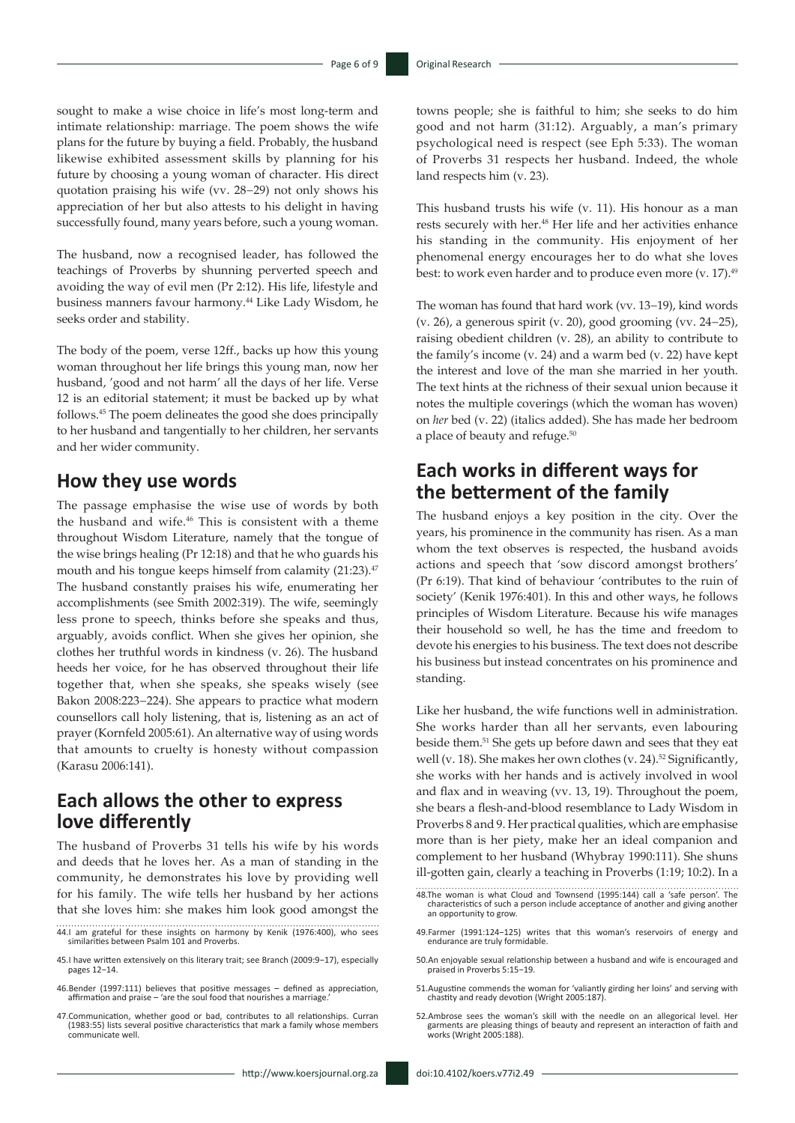sought to make a wise choice in life's most long-term and intimate relationship: marriage. The poem shows the wife plans for the future by buying a field. Probably, the husband likewise exhibited assessment skills by planning for his future by choosing a young woman of character. His direct quotation praising his wife (vv. 28−29) not only shows his appreciation of her but also attests to his delight in having successfully found, many years before, such a young woman.

The husband, now a recognised leader, has followed the teachings of Proverbs by shunning perverted speech and avoiding the way of evil men (Pr 2:12). His life, lifestyle and business manners favour harmony.44 Like Lady Wisdom, he seeks order and stability.

The body of the poem, verse 12ff., backs up how this young woman throughout her life brings this young man, now her husband, 'good and not harm' all the days of her life. Verse 12 is an editorial statement; it must be backed up by what follows.45 The poem delineates the good she does principally to her husband and tangentially to her children, her servants and her wider community.

#### **How they use words**

The passage emphasise the wise use of words by both the husband and wife.<sup>46</sup> This is consistent with a theme throughout Wisdom Literature, namely that the tongue of the wise brings healing (Pr 12:18) and that he who guards his mouth and his tongue keeps himself from calamity (21:23).<sup>47</sup> The husband constantly praises his wife, enumerating her accomplishments (see Smith 2002:319). The wife, seemingly less prone to speech, thinks before she speaks and thus, arguably, avoids conflict. When she gives her opinion, she clothes her truthful words in kindness (v. 26). The husband heeds her voice, for he has observed throughout their life together that, when she speaks, she speaks wisely (see Bakon 2008:223−224). She appears to practice what modern counsellors call holy listening, that is, listening as an act of prayer (Kornfeld 2005:61). An alternative way of using words that amounts to cruelty is honesty without compassion (Karasu 2006:141).

# **Each allows the other to express love differently**

The husband of Proverbs 31 tells his wife by his words and deeds that he loves her. As a man of standing in the community, he demonstrates his love by providing well for his family. The wife tells her husband by her actions that she loves him: she makes him look good amongst the

- 44.I am grateful for these insights on harmony by Kenik (1976:400), who sees similarities between Psalm 101 and Proverbs.
- 45.I have written extensively on this literary trait; see Branch (2009:9−17), especially pages 12−14.
- 46.Bender (1997:111) believes that positive messages defined as appreciation, affirmation and praise – 'are the soul food that nourishes a marriage.'

47.Communication, whether good or bad, contributes to all relationships. Curran (1983:55) lists several positive characteristics that mark a family whose members communicate well.

towns people; she is faithful to him; she seeks to do him good and not harm (31:12). Arguably, a man's primary psychological need is respect (see Eph 5:33). The woman of Proverbs 31 respects her husband. Indeed, the whole land respects him (v. 23).

This husband trusts his wife (v. 11). His honour as a man rests securely with her.48 Her life and her activities enhance his standing in the community. His enjoyment of her phenomenal energy encourages her to do what she loves best: to work even harder and to produce even more (y. 17).<sup>49</sup>

The woman has found that hard work (vv. 13−19), kind words (v. 26), a generous spirit (v. 20), good grooming (vv. 24−25), raising obedient children (v. 28), an ability to contribute to the family's income (v. 24) and a warm bed (v. 22) have kept the interest and love of the man she married in her youth. The text hints at the richness of their sexual union because it notes the multiple coverings (which the woman has woven) on *her* bed (v. 22) (italics added). She has made her bedroom a place of beauty and refuge.<sup>50</sup>

### **Each works in different ways for the betterment of the family**

The husband enjoys a key position in the city. Over the years, his prominence in the community has risen. As a man whom the text observes is respected, the husband avoids actions and speech that 'sow discord amongst brothers' (Pr 6:19). That kind of behaviour 'contributes to the ruin of society' (Kenik 1976:401). In this and other ways, he follows principles of Wisdom Literature. Because his wife manages their household so well, he has the time and freedom to devote his energies to his business. The text does not describe his business but instead concentrates on his prominence and standing.

Like her husband, the wife functions well in administration. She works harder than all her servants, even labouring beside them.51 She gets up before dawn and sees that they eat well (v. 18). She makes her own clothes (v. 24).<sup>52</sup> Significantly, she works with her hands and is actively involved in wool and flax and in weaving (vv. 13, 19). Throughout the poem, she bears a flesh-and-blood resemblance to Lady Wisdom in Proverbs 8 and 9. Her practical qualities, which are emphasise more than is her piety, make her an ideal companion and complement to her husband (Whybray 1990:111). She shuns ill-gotten gain, clearly a teaching in Proverbs (1:19; 10:2). In a

- 48.The woman is what Cloud and Townsend (1995:144) call a 'safe person'. The characteristics of such a person include acceptance of another and giving another an opportunity to grow.
- 49.Farmer (1991:124−125) writes that this woman's reservoirs of energy and endurance are truly formidable.
- 50.An enjoyable sexual relationship between a husband and wife is encouraged and praised in Proverbs 5:15−19.
- 51.Augustine commends the woman for 'valiantly girding her loins' and serving with chastity and ready devotion (Wright 2005:187).
- 52.Ambrose sees the woman's skill with the needle on an allegorical level. Her garments are pleasing things of beauty and represent an interaction of faith and works (Wright 2005:188).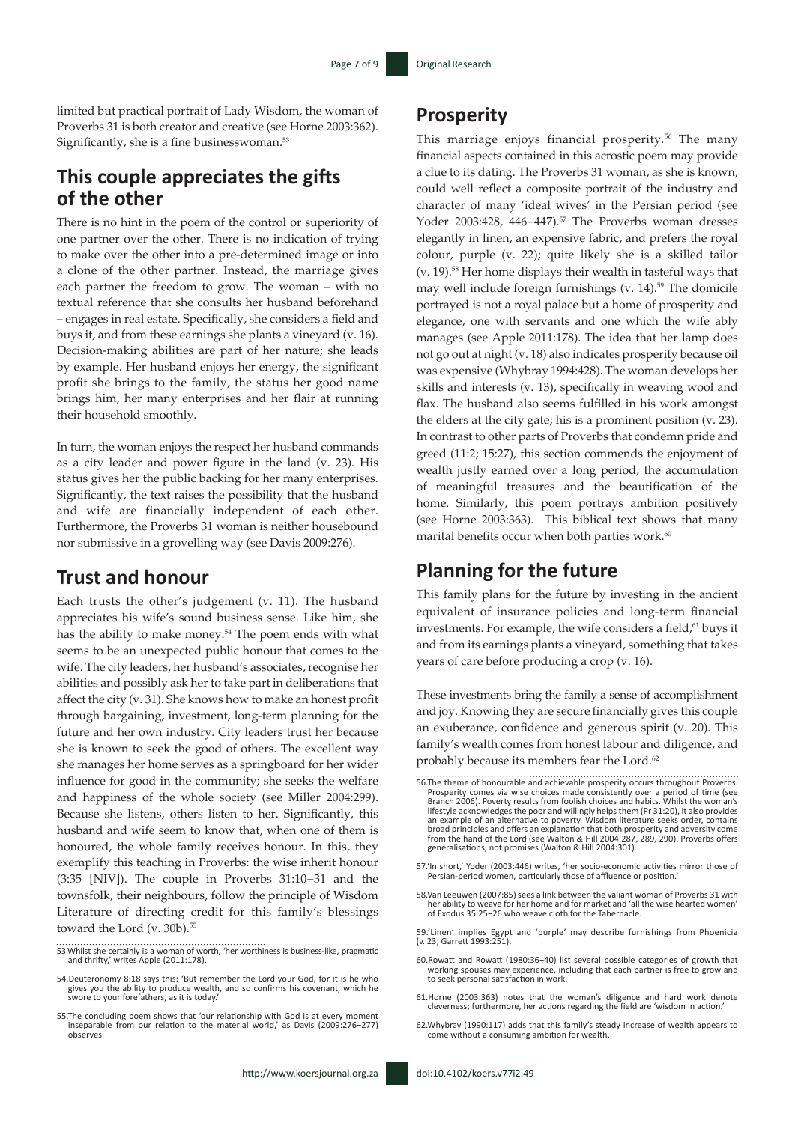limited but practical portrait of Lady Wisdom, the woman of Proverbs 31 is both creator and creative (see Horne 2003:362). Significantly, she is a fine businesswoman.<sup>53</sup>

### **This couple appreciates the gifts of the other**

There is no hint in the poem of the control or superiority of one partner over the other. There is no indication of trying to make over the other into a pre-determined image or into a clone of the other partner. Instead, the marriage gives each partner the freedom to grow. The woman – with no textual reference that she consults her husband beforehand – engages in real estate. Specifically, she considers a field and buys it, and from these earnings she plants a vineyard (v. 16). Decision-making abilities are part of her nature; she leads by example. Her husband enjoys her energy, the significant profit she brings to the family, the status her good name brings him, her many enterprises and her flair at running their household smoothly.

In turn, the woman enjoys the respect her husband commands as a city leader and power figure in the land (v. 23). His status gives her the public backing for her many enterprises. Significantly, the text raises the possibility that the husband and wife are financially independent of each other. Furthermore, the Proverbs 31 woman is neither housebound nor submissive in a grovelling way (see Davis 2009:276).

#### **Trust and honour**

Each trusts the other's judgement (v. 11). The husband appreciates his wife's sound business sense. Like him, she has the ability to make money.<sup>54</sup> The poem ends with what seems to be an unexpected public honour that comes to the wife. The city leaders, her husband's associates, recognise her abilities and possibly ask her to take part in deliberations that affect the city (v. 31). She knows how to make an honest profit through bargaining, investment, long-term planning for the future and her own industry. City leaders trust her because she is known to seek the good of others. The excellent way she manages her home serves as a springboard for her wider influence for good in the community; she seeks the welfare and happiness of the whole society (see Miller 2004:299). Because she listens, others listen to her. Significantly, this husband and wife seem to know that, when one of them is honoured, the whole family receives honour. In this, they exemplify this teaching in Proverbs: the wise inherit honour (3:35 [NIV]). The couple in Proverbs 31:10−31 and the townsfolk, their neighbours, follow the principle of Wisdom Literature of directing credit for this family's blessings toward the Lord (v. 30b).<sup>55</sup>

- 53.Whilst she certainly is a woman of worth, 'her worthiness is business-like, pragmatic and thrifty,' writes Apple (2011:178).
- 54.Deuteronomy 8:18 says this: 'But remember the Lord your God, for it is he who gives you the ability to produce wealth, and so confirms his covenant, which he swore to your forefathers, as it is today.'
- 55.The concluding poem shows that 'our relationship with God is at every moment inseparable from our relation to the material world,' as Davis (2009:276−277) observes.

This marriage enjoys financial prosperity.<sup>56</sup> The many financial aspects contained in this acrostic poem may provide a clue to its dating. The Proverbs 31 woman, as she is known, could well reflect a composite portrait of the industry and character of many 'ideal wives' in the Persian period (see Yoder 2003:428, 446−447).57 The Proverbs woman dresses elegantly in linen, an expensive fabric, and prefers the royal colour, purple (v. 22); quite likely she is a skilled tailor (v. 19).58 Her home displays their wealth in tasteful ways that may well include foreign furnishings (v. 14).59 The domicile portrayed is not a royal palace but a home of prosperity and elegance, one with servants and one which the wife ably manages (see Apple 2011:178). The idea that her lamp does not go out at night (v. 18) also indicates prosperity because oil was expensive (Whybray 1994:428). The woman develops her skills and interests (v. 13), specifically in weaving wool and flax. The husband also seems fulfilled in his work amongst the elders at the city gate; his is a prominent position (v. 23). In contrast to other parts of Proverbs that condemn pride and greed (11:2; 15:27), this section commends the enjoyment of wealth justly earned over a long period, the accumulation of meaningful treasures and the beautification of the home. Similarly, this poem portrays ambition positively (see Horne 2003:363). This biblical text shows that many marital benefits occur when both parties work. $60$ 

#### **Planning for the future**

This family plans for the future by investing in the ancient equivalent of insurance policies and long-term financial investments. For example, the wife considers a field,<sup>61</sup> buys it and from its earnings plants a vineyard, something that takes years of care before producing a crop (v. 16).

These investments bring the family a sense of accomplishment and joy. Knowing they are secure financially gives this couple an exuberance, confidence and generous spirit (v. 20). This family's wealth comes from honest labour and diligence, and probably because its members fear the Lord.<sup>62</sup>

- 56.The theme of honourable and achievable prosperity occurs throughout Proverbs. Prosperity comes via wise choices made consistently over a period of time (see Branch 2006). Poverty results from foolish choices and habits. Whilst the woman's lifestyle acknowledges the poor and willingly helps them (Pr 31:20), it also provides an example of an alternative to poverty. Wisdom literature seeks order, contains broad principles and offers an explanation that both prosperity and adversity come from the hand of the Lord (see Walton & Hill 2004:287, 289, 290). Proverbs offers generalisations, not promises (Walton & Hill 2004:301).
- 57.'In short,' Yoder (2003:446) writes, 'her socio-economic activities mirror those of Persian-period women, particularly those of affluence or position.'
- 58.Van Leeuwen (2007:85) sees a link between the valiant woman of Proverbs 31 with her ability to weave for her home and for market and 'all the wise hearted women' of Exodus 35:25−26 who weave cloth for the Tabernacle.
- 59.'Linen' implies Egypt and 'purple' may describe furnishings from Phoenicia (v. 23; Garrett 1993:251).
- 60.Rowatt and Rowatt (1980:36−40) list several possible categories of growth that working spouses may experience, including that each partner is free to grow and to seek personal satisfaction in work.
- 61.Horne (2003:363) notes that the woman's diligence and hard work denote cleverness; furthermore, her actions regarding the field are 'wisdom in action.'
- 62.Whybray (1990:117) adds that this family's steady increase of wealth appears to come without a consuming ambition for wealth.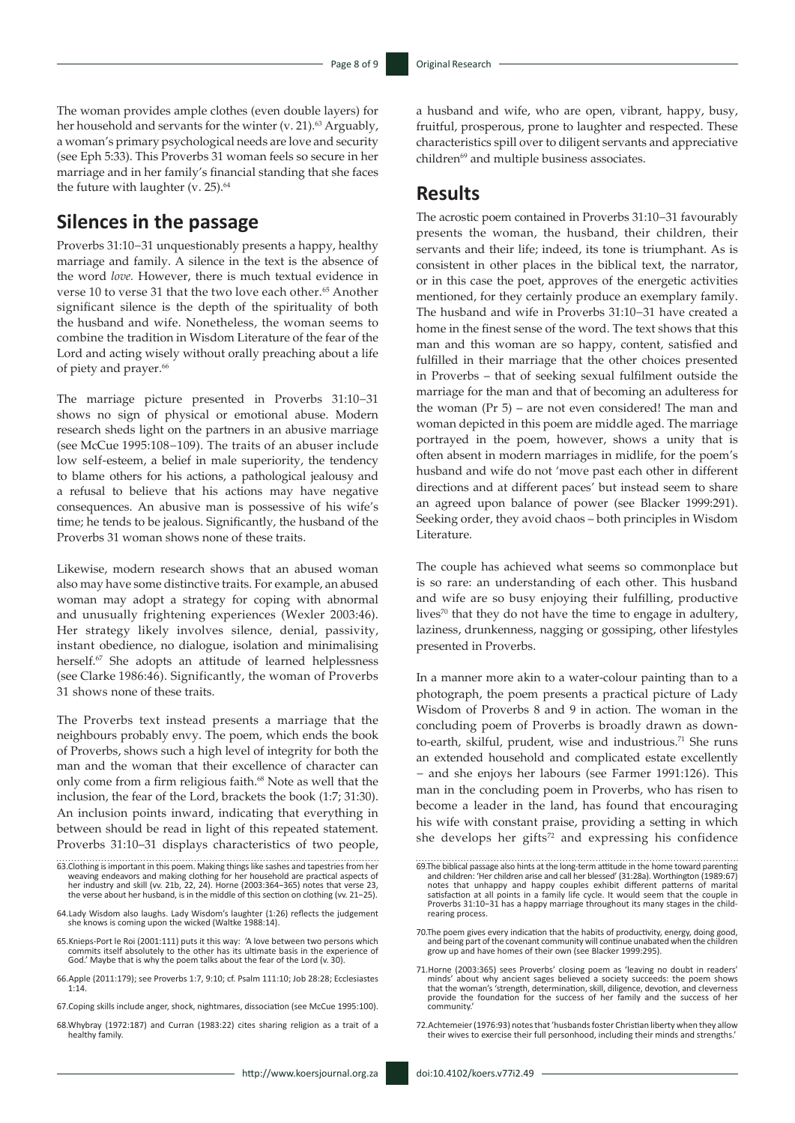The woman provides ample clothes (even double layers) for her household and servants for the winter (v. 21).<sup>63</sup> Arguably, a woman's primary psychological needs are love and security (see Eph 5:33). This Proverbs 31 woman feels so secure in her marriage and in her family's financial standing that she faces the future with laughter (v. 25). $64$ 

### **Silences in the passage**

Proverbs 31:10−31 unquestionably presents a happy, healthy marriage and family. A silence in the text is the absence of the word *love.* However, there is much textual evidence in verse 10 to verse 31 that the two love each other.<sup>65</sup> Another significant silence is the depth of the spirituality of both the husband and wife. Nonetheless, the woman seems to combine the tradition in Wisdom Literature of the fear of the Lord and acting wisely without orally preaching about a life of piety and prayer.<sup>66</sup>

The marriage picture presented in Proverbs 31:10−31 shows no sign of physical or emotional abuse. Modern research sheds light on the partners in an abusive marriage (see McCue 1995:108−109). The traits of an abuser include low self-esteem, a belief in male superiority, the tendency to blame others for his actions, a pathological jealousy and a refusal to believe that his actions may have negative consequences. An abusive man is possessive of his wife's time; he tends to be jealous. Significantly, the husband of the Proverbs 31 woman shows none of these traits.

Likewise, modern research shows that an abused woman also may have some distinctive traits. For example, an abused woman may adopt a strategy for coping with abnormal and unusually frightening experiences (Wexler 2003:46). Her strategy likely involves silence, denial, passivity, instant obedience, no dialogue, isolation and minimalising herself.<sup>67</sup> She adopts an attitude of learned helplessness (see Clarke 1986:46). Significantly, the woman of Proverbs 31 shows none of these traits.

The Proverbs text instead presents a marriage that the neighbours probably envy. The poem, which ends the book of Proverbs, shows such a high level of integrity for both the man and the woman that their excellence of character can only come from a firm religious faith.<sup>68</sup> Note as well that the inclusion, the fear of the Lord, brackets the book (1:7; 31:30). An inclusion points inward, indicating that everything in between should be read in light of this repeated statement. Proverbs 31:10–31 displays characteristics of two people,

- 65. Knieps-Port le Roi (2001:111) puts it this way: 'A love between two persons which commits itself absolutely to the other has its ultimate basis in the experience of God.' Maybe that is why the poem talks about the fear
- 66.Apple (2011:179); see Proverbs 1:7, 9:10; cf. Psalm 111:10; Job 28:28; Ecclesiastes 1:14.

a husband and wife, who are open, vibrant, happy, busy, fruitful, prosperous, prone to laughter and respected. These characteristics spill over to diligent servants and appreciative children<sup>69</sup> and multiple business associates.

#### **Results**

The acrostic poem contained in Proverbs 31:10−31 favourably presents the woman, the husband, their children, their servants and their life; indeed, its tone is triumphant. As is consistent in other places in the biblical text, the narrator, or in this case the poet, approves of the energetic activities mentioned, for they certainly produce an exemplary family. The husband and wife in Proverbs 31:10−31 have created a home in the finest sense of the word. The text shows that this man and this woman are so happy, content, satisfied and fulfilled in their marriage that the other choices presented in Proverbs – that of seeking sexual fulfilment outside the marriage for the man and that of becoming an adulteress for the woman (Pr 5) – are not even considered! The man and woman depicted in this poem are middle aged. The marriage portrayed in the poem, however, shows a unity that is often absent in modern marriages in midlife, for the poem's husband and wife do not 'move past each other in different directions and at different paces' but instead seem to share an agreed upon balance of power (see Blacker 1999:291). Seeking order, they avoid chaos – both principles in Wisdom Literature.

The couple has achieved what seems so commonplace but is so rare: an understanding of each other. This husband and wife are so busy enjoying their fulfilling, productive lives $70$  that they do not have the time to engage in adultery, laziness, drunkenness, nagging or gossiping, other lifestyles presented in Proverbs.

In a manner more akin to a water-colour painting than to a photograph, the poem presents a practical picture of Lady Wisdom of Proverbs 8 and 9 in action. The woman in the concluding poem of Proverbs is broadly drawn as downto-earth, skilful, prudent, wise and industrious.<sup>71</sup> She runs an extended household and complicated estate excellently − and she enjoys her labours (see Farmer 1991:126). This man in the concluding poem in Proverbs, who has risen to become a leader in the land, has found that encouraging his wife with constant praise, providing a setting in which she develops her gifts<sup>72</sup> and expressing his confidence

72.Achtemeier (1976:93) notes that 'husbands foster Christian liberty when they allow their wives to exercise their full personhood, including their minds and strengths.'

<sup>63.</sup>Clothing is important in this poem. Making things like sashes and tapestries from her weaving endeavors and making clothing for her household are practical aspects of her industry and skill (vv. 21b, 22, 24). Horne (2003:364−365) notes that verse 23, the verse about her husband, is in the middle of this section on clothing (vv. 21−25).

<sup>64.</sup>Lady Wisdom also laughs. Lady Wisdom's laughter (1:26) reflects the judgement she knows is coming upon the wicked (Waltke 1988:14).

<sup>67.</sup>Coping skills include anger, shock, nightmares, dissociation (see McCue 1995:100).

<sup>68.</sup>Whybray (1972:187) and Curran (1983:22) cites sharing religion as a trait of a healthy family.

<sup>69.</sup>The biblical passage also hints at the long-term attitude in the home toward parenting and children: 'Her children arise and call her blessed' (31:28a). Worthington (1989:67) notes that unhappy and happy couples exhibit different patterns of marital satisfaction at all points in a family life cycle. It would seem that the couple in Proverbs 31:10−31 has a happy marriage throughout its many stages in the childrearing process.

<sup>70.</sup>The poem gives every indication that the habits of productivity, energy, doing good, and being part of the covenant community will continue unabated when the children grow up and have homes of their own (see Blacker 1999:295).

<sup>71.</sup>Horne (2003:365) sees Proverbs' closing poem as 'leaving no doubt in readers' minds' about why ancient sages believed a society succeeds: the poem shows that the woman's 'strength, determination, skill, diligence, devotion, and cleverness provide the foundation for the success of her family and the success of her community.'